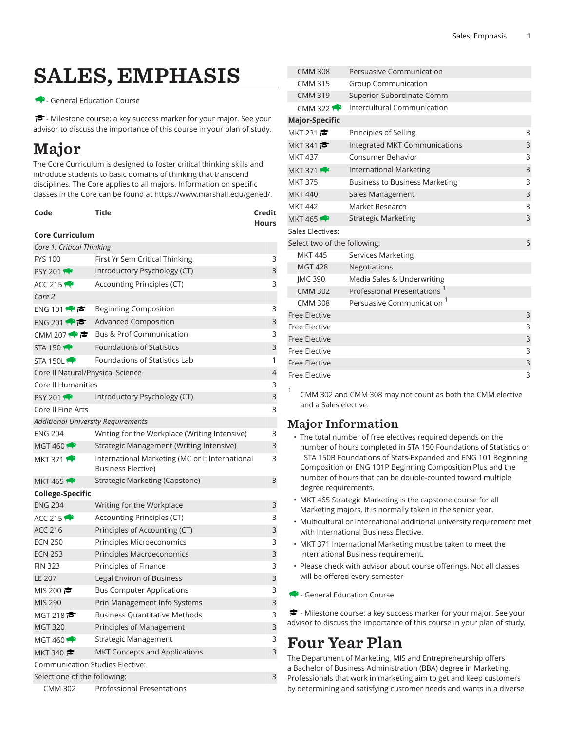# SALES, EMPHASIS

- General Education Course

<del>■</del> - Milestone course: a key success marker for your major. See your advisor to discuss the importance of this course in your plan of study.

## Major

The Core Curriculum is designed to foster critical thinking skills and introduce students to basic domains of thinking that transcend disciplines. The Core applies to all majors. Information on specific classes in the Core can be found at [https://www.marshall.edu/gened/.](https://www.marshall.edu/gened/)

| Code | Title | Credit       |
|------|-------|--------------|
|      |       | <b>Hours</b> |

#### **Core Curriculum**

| Core 1: Critical Thinking                   |                                                                       |   |  |  |
|---------------------------------------------|-----------------------------------------------------------------------|---|--|--|
| <b>FYS 100</b>                              | First Yr Sem Critical Thinking                                        | 3 |  |  |
| <b>PSY 2011</b>                             | Introductory Psychology (CT)                                          | 3 |  |  |
| ACC 215 $\rightarrow$                       | Accounting Principles (CT)                                            | 3 |  |  |
| Core 2                                      |                                                                       |   |  |  |
| ENG 101 $\bullet$                           | <b>Beginning Composition</b>                                          | 3 |  |  |
| ENG 201                                     | <b>Advanced Composition</b>                                           | 3 |  |  |
| CMM 207 $\leftrightarrow$ $\leftrightarrow$ | <b>Bus &amp; Prof Communication</b>                                   | 3 |  |  |
| STA 150 $\rightarrow$                       | <b>Foundations of Statistics</b>                                      | 3 |  |  |
| STA 150L                                    | Foundations of Statistics Lab                                         | 1 |  |  |
| Core II Natural/Physical Science            |                                                                       | 4 |  |  |
| Core II Humanities                          |                                                                       | 3 |  |  |
| <b>PSY 2011</b>                             | Introductory Psychology (CT)                                          | 3 |  |  |
| Core II Fine Arts                           |                                                                       | 3 |  |  |
| <b>Additional University Requirements</b>   |                                                                       |   |  |  |
| <b>ENG 204</b>                              | Writing for the Workplace (Writing Intensive)                         | 3 |  |  |
| MGT 460                                     | Strategic Management (Writing Intensive)                              | 3 |  |  |
| <b>MKT 371</b>                              | International Marketing (MC or I: International<br>Business Elective) | 3 |  |  |
| <b>MKT 465 FP</b>                           | Strategic Marketing (Capstone)                                        | 3 |  |  |
| College-Specific                            |                                                                       |   |  |  |
| <b>ENG 204</b>                              | Writing for the Workplace                                             | 3 |  |  |
| ACC 215                                     | Accounting Principles (CT)                                            | 3 |  |  |
| <b>ACC 216</b>                              | Principles of Accounting (CT)                                         | 3 |  |  |
| <b>ECN 250</b>                              | Principles Microeconomics                                             | 3 |  |  |
| <b>ECN 253</b>                              | Principles Macroeconomics                                             | 3 |  |  |
| <b>FIN 323</b>                              | Principles of Finance                                                 | 3 |  |  |
| LE 207                                      | Legal Environ of Business                                             | 3 |  |  |
| MIS 200 $\approx$                           | Bus Computer Applications                                             | 3 |  |  |
| MIS 290                                     | Prin Management Info Systems                                          | 3 |  |  |
| MGT 218 $\approx$                           | <b>Business Quantitative Methods</b>                                  | 3 |  |  |
| <b>MGT 320</b>                              | Principles of Management                                              | 3 |  |  |
| MGT 460                                     | Strategic Management                                                  | 3 |  |  |
| MKT 340                                     | MKT Concepts and Applications                                         | 3 |  |  |
| <b>Communication Studies Elective:</b>      |                                                                       |   |  |  |
| Select one of the following:<br>3           |                                                                       |   |  |  |
| <b>CMM 302</b>                              | <b>Professional Presentations</b>                                     |   |  |  |

| <b>CMM 308</b>               | Persuasive Communication                |   |
|------------------------------|-----------------------------------------|---|
| <b>CMM 315</b>               | <b>Group Communication</b>              |   |
| <b>CMM 319</b>               | Superior-Subordinate Comm               |   |
| CMM 322 $\leftrightarrow$    | Intercultural Communication             |   |
| <b>Major-Specific</b>        |                                         |   |
| MKT 231                      | Principles of Selling                   | 3 |
| MKT 341                      | Integrated MKT Communications           | 3 |
| <b>MKT 437</b>               | Consumer Behavior                       | 3 |
| <b>MKT 371</b>               | <b>International Marketing</b>          | 3 |
| <b>MKT 375</b>               | <b>Business to Business Marketing</b>   | 3 |
| <b>MKT 440</b>               | Sales Management                        | 3 |
| <b>MKT 442</b>               | Market Research                         | 3 |
| <b>MKT 465</b>               | <b>Strategic Marketing</b>              | 3 |
| <b>Sales Electives:</b>      |                                         |   |
| Select two of the following: |                                         | 6 |
| <b>MKT 445</b>               | <b>Services Marketing</b>               |   |
| <b>MGT 428</b>               | Negotiations                            |   |
| <b>IMC 390</b>               | Media Sales & Underwriting              |   |
| <b>CMM 302</b>               | Professional Presentations <sup>1</sup> |   |
| <b>CMM 308</b>               | Persuasive Communication <sup>1</sup>   |   |
| <b>Free Elective</b>         |                                         | 3 |
| Free Elective                |                                         | 3 |
| <b>Free Elective</b>         |                                         | 3 |
| Free Elective                |                                         | 3 |
| <b>Free Elective</b>         |                                         | 3 |
| Free Elective                |                                         | 3 |
|                              |                                         |   |

CMM 302 and CMM 308 may not count as both the CMM elective and a Sales elective.

### Major Information

1

- The total number of free electives required depends on the number of hours completed in STA 150 Foundations of Statistics or STA 150B Foundations of Stats-Expanded and ENG 101 Beginning Composition or ENG 101P Beginning Composition Plus and the number of hours that can be double-counted toward multiple degree requirements.
- MKT 465 Strategic Marketing is the capstone course for all Marketing majors. It is normally taken in the senior year.
- Multicultural or International additional university requirement met with International Business Elective.
- MKT 371 International Marketing must be taken to meet the International Business requirement.
- Please check with advisor about course offerings. Not all classes will be offered every semester
- General Education Course

- Milestone course: a key success marker for your major. See your advisor to discuss the importance of this course in your plan of study.

### Four Year Plan

The Department of Marketing, MIS and Entrepreneurship offers a Bachelor of Business Administration (BBA) degree in Marketing. Professionals that work in marketing aim to get and keep customers by determining and satisfying customer needs and wants in a diverse